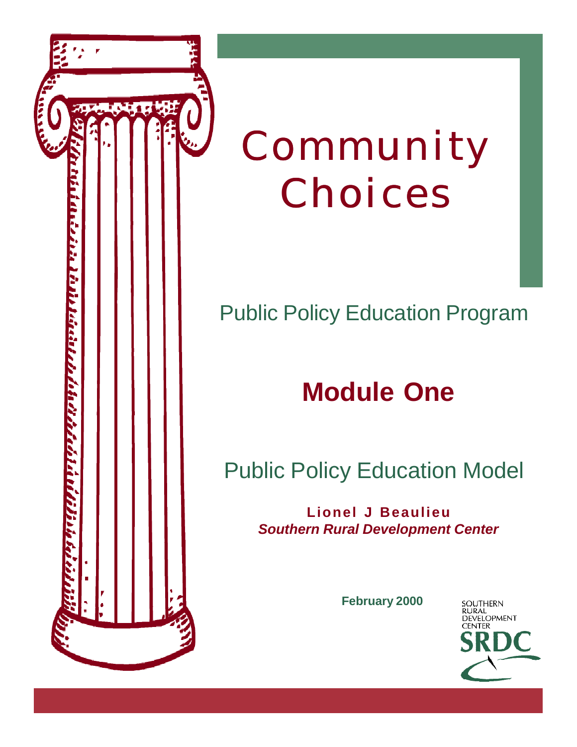

# Community Choices

### Public Policy Education Program

## **Module One**

### Public Policy Education Model

**Lionel J Beaulieu** *Southern Rural Development Center*

**February 2000**

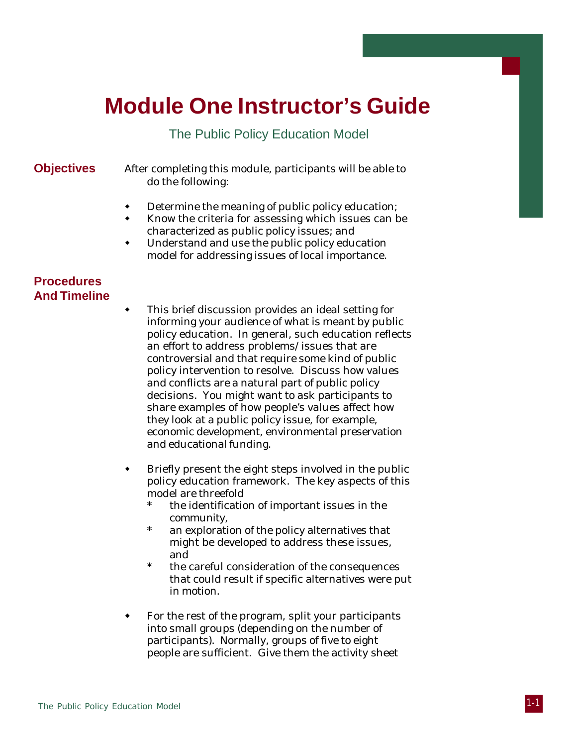### **Module One Instructor's Guide**

#### The Public Policy Education Model

**Objectives** After completing this module, participants will be able to do the following:

- **•** Determine the meaning of public policy education;
- Know the criteria for assessing which issues can be characterized as public policy issues; and
- Understand and use the public policy education model for addressing issues of local importance.

#### **Procedures And Timeline**

- This brief discussion provides an ideal setting for informing your audience of what is meant by public policy education. In general, such education reflects an effort to address problems/issues that are controversial and that require some kind of public policy intervention to resolve. Discuss how values and conflicts are a natural part of public policy decisions. You might want to ask participants to share examples of how people's values affect how they look at a public policy issue, for example, economic development, environmental preservation and educational funding.
- Briefly present the eight steps involved in the public policy education framework. The key aspects of this model are threefold
	- the identification of important issues in the community,
	- an exploration of the policy alternatives that might be developed to address these issues, and
	- the careful consideration of the consequences that could result if specific alternatives were put in motion.
- For the rest of the program, split your participants into small groups (depending on the number of participants). Normally, groups of five to eight people are sufficient. Give them the activity sheet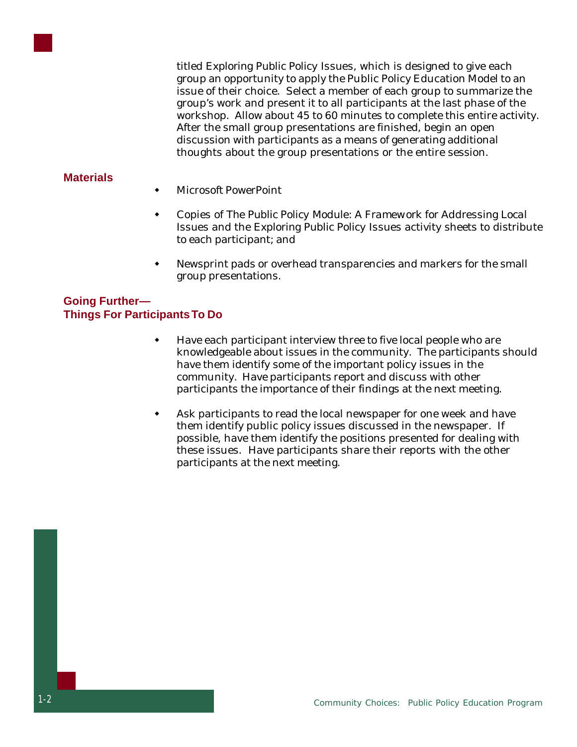titled *Exploring Public Policy Issues*, which is designed to give each group an opportunity to apply the Public Policy Education Model to an issue of their choice. Select a member of each group to summarize the group's work and present it to all participants at the last phase of the workshop. Allow about 45 to 60 minutes to complete this entire activity. After the small group presentations are finished, begin an open discussion with participants as a means of generating additional thoughts about the group presentations or the entire session.

#### **Materials**

- Microsoft PowerPoint
- Copies of *The Public Policy Module: A Framework for Addressing Local Issues* and the *Exploring Public Policy Issues* activity sheets to distribute to each participant; and
- Newsprint pads or overhead transparencies and markers for the small group presentations.

#### **Going Further— Things For Participants To Do**

- Have each participant interview three to five local people who are knowledgeable about issues in the community. The participants should have them identify some of the important policy issues in the community. Have participants report and discuss with other participants the importance of their findings at the next meeting.
- Ask participants to read the local newspaper for one week and have them identify public policy issues discussed in the newspaper. If possible, have them identify the positions presented for dealing with these issues. Have participants share their reports with the other participants at the next meeting.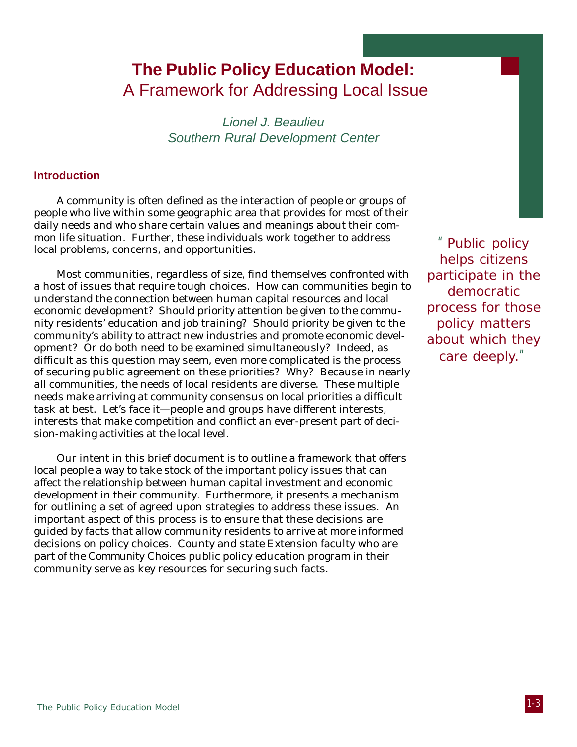### **The Public Policy Education Model:** A Framework for Addressing Local Issue

Lionel J. Beaulieu Southern Rural Development Center

#### **Introduction**

A community is often defined as the interaction of people or groups of people who live within some geographic area that provides for most of their daily needs and who share certain values and meanings about their common life situation. Further, these individuals work together to address local problems, concerns, and opportunities.

Most communities, regardless of size, find themselves confronted with a host of issues that require tough choices. How can communities begin to understand the connection between human capital resources and local economic development? Should priority attention be given to the community residents' education and job training? Should priority be given to the community's ability to attract new industries and promote economic development? Or do both need to be examined simultaneously? Indeed, as difficult as this question may seem, even more complicated is the process of securing public agreement on these priorities? Why? Because in nearly all communities, the needs of local residents are diverse. These multiple needs make arriving at community consensus on local priorities a difficult task at best. Let's face it—people and groups have different interests, interests that make competition and conflict an ever-present part of decision-making activities at the local level.

Our intent in this brief document is to outline a framework that offers local people a way to take stock of the important policy issues that can affect the relationship between human capital investment and economic development in their community. Furthermore, it presents a mechanism for outlining a set of agreed upon strategies to address these issues. An important aspect of this process is to ensure that these decisions are guided by facts that allow community residents to arrive at more informed decisions on policy choices. County and state Extension faculty who are part of the *Community Choices* public policy education program in their community serve as key resources for securing such facts.

"Public policy helps citizens participate in the democratic process for those policy matters about which they care deeply."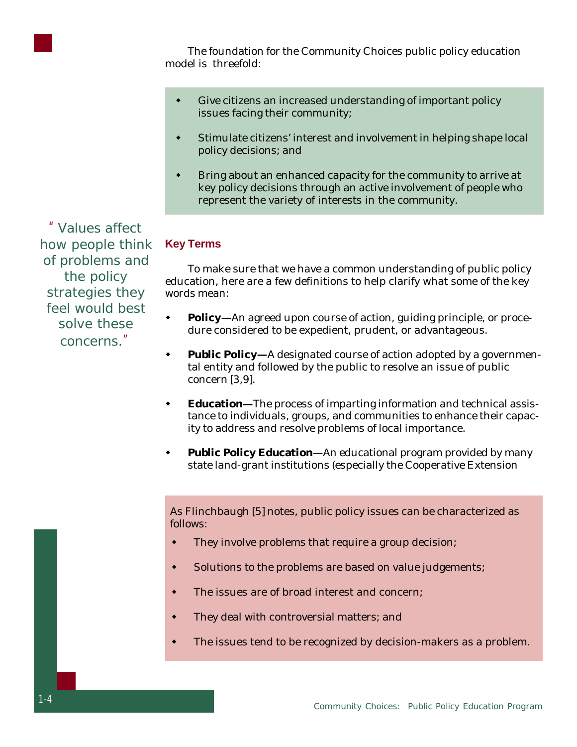

The foundation for the Community Choices public policy education model is threefold:

- Give citizens an increased understanding of important policy issues facing their community;
- **\*** Stimulate citizens' interest and involvement in helping shape local policy decisions; and
- **\*** Bring about an enhanced capacity for the community to arrive at key policy decisions through an active involvement of people who represent the variety of interests in the community.

**Key Terms**

To make sure that we have a common understanding of public policy education, here are a few definitions to help clarify what some of the key words mean:

- **Policy**—An agreed upon course of action, guiding principle, or procedure considered to be expedient, prudent, or advantageous.
- **Public Policy—**A designated course of action adopted by a governmental entity and followed by the public to resolve an issue of public concern [3,9].
- **Education**—The process of imparting information and technical assistance to individuals, groups, and communities to enhance their capacity to address and resolve problems of local importance.
- **Public Policy Education**—An educational program provided by many state land-grant institutions (especially the Cooperative Extension

As Flinchbaugh [5] notes, public policy issues can be characterized as follows:

- They involve problems that require a group decision;
- Solutions to the problems are based on value judgements;
- The issues are of broad interest and concern:
- They deal with controversial matters; and
- The issues tend to be recognized by decision-makers as a problem.

"Values affect how people think of problems and the policy strategies they feel would best solve these concerns."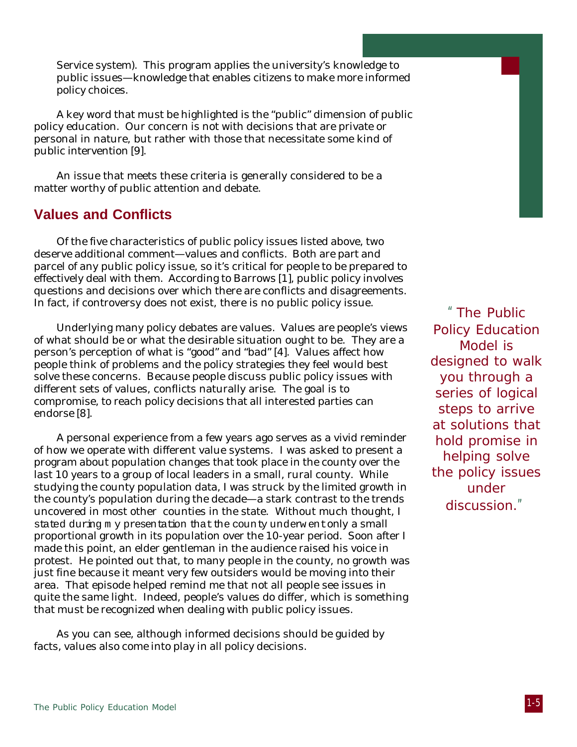Service system). This program applies the university's knowledge to public issues—knowledge that enables citizens to make more informed policy choices.

A key word that must be highlighted is the "public" dimension of public policy education. Our concern is not with decisions that are private or personal in nature, but rather with those that necessitate some kind of public intervention [9].

An issue that meets these criteria is generally considered to be a matter worthy of public attention and debate.

#### **Values and Conflicts**

Of the five characteristics of public policy issues listed above, two deserve additional comment—values and conflicts. Both are part and parcel of any public policy issue, so it's critical for people to be prepared to effectively deal with them. According to Barrows [1], public policy involves questions and decisions over which there are conflicts and disagreements. In fact, if controversy does not exist, there is no public policy issue.

Underlying many policy debates are values. Values are people's views of what should be or what the desirable situation ought to be. They are a person's perception of what is "good" and "bad" [4]. Values affect how people think of problems and the policy strategies they feel would best solve these concerns. Because people discuss public policy issues with different sets of values, conflicts naturally arise. The goal is to compromise, to reach policy decisions that all interested parties can endorse [8].

A personal experience from a few years ago serves as a vivid reminder of how we operate with different value systems. I was asked to present a program about population changes that took place in the county over the last 10 years to a group of local leaders in a small, rural county. While studying the county population data, I was struck by the limited growth in the county's population during the decade—a stark contrast to the trends uncovered in most other counties in the state. Without much thought, I stated during m y presentation that the county underw ent *only* a small proportional growth in its population over the 10-year period. Soon after I made this point, an elder gentleman in the audience raised his voice in protest. He pointed out that, to many people in the county, no growth was just fine because it meant very few outsiders would be moving into their area. That episode helped remind me that not all people see issues in quite the same light. Indeed, people's values do differ, which is something that must be recognized when dealing with public policy issues.

As you can see, although informed decisions should be guided by facts, values also come into play in all policy decisions.

"The Public Policy Education Model is designed to walk you through a series of logical steps to arrive at solutions that hold promise in helping solve the policy issues under discussion."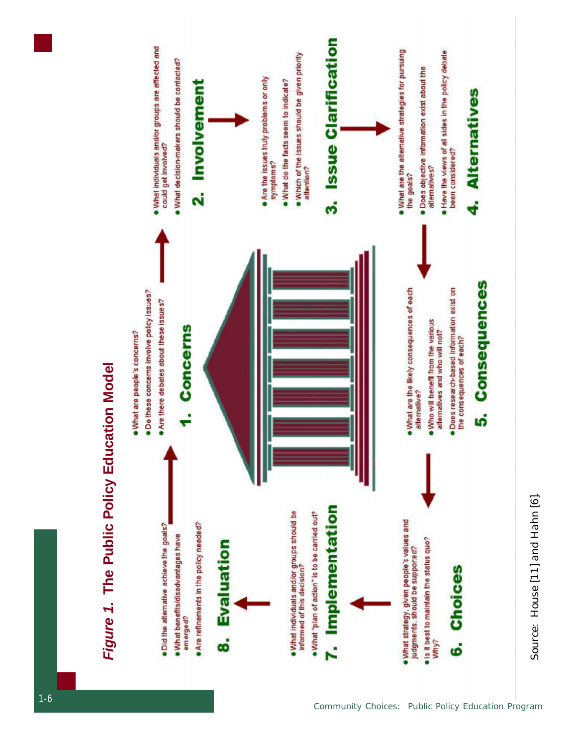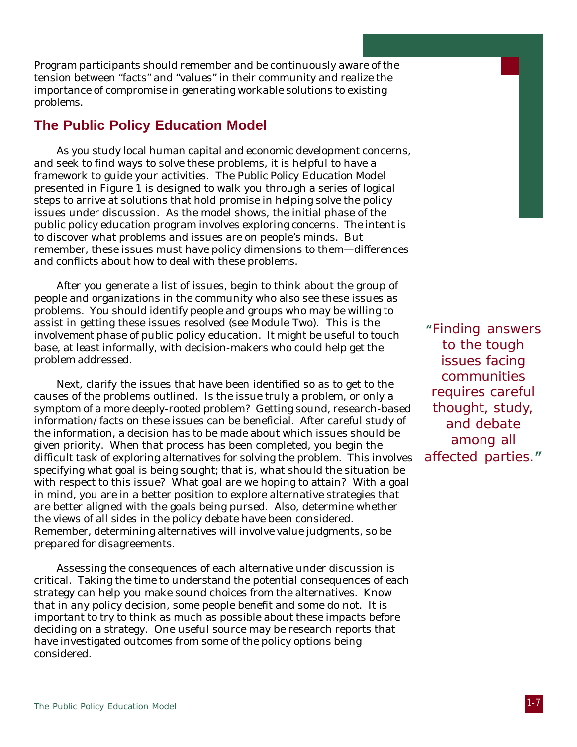Program participants should remember and be continuously aware of the tension between "facts" and "values" in their community and realize the importance of compromise in generating workable solutions to existing problems.

#### **The Public Policy Education Model**

As you study local human capital and economic development concerns, and seek to find ways to solve these problems, it is helpful to have a framework to guide your activities. The *Public Policy Education Model* presented in Figure 1 is designed to walk you through a series of logical steps to arrive at solutions that hold promise in helping solve the policy issues under discussion. As the model shows, the initial phase of the public policy education program involves exploring *concerns*. The intent is to discover what problems and issues are on people's minds. But remember, these issues must have policy dimensions to them—differences and conflicts about how to deal with these problems.

After you generate a list of issues, begin to think about the group of people and organizations in the community who also see these issues as problems. You should identify people and groups who may be willing to assist in getting these issues resolved (see Module Two). This is the *involvement* phase of public policy education. It might be useful to touch base, at least informally, with decision-makers who could help get the problem addressed.

Next, *clarify the issues* that have been identified so as to get to the causes of the problems outlined. Is the issue truly a problem, or only a symptom of a more deeply-rooted problem? Getting sound, research-based information/facts on these issues can be beneficial. After careful study of the information, a decision has to be made about which issues should be given priority. When that process has been completed, you begin the difficult task of exploring *alternatives* for solving the problem. This involves specifying what goal is being sought; that is, what should the situation be with respect to this issue? What goal are we hoping to attain? With a goal in mind, you are in a better position to explore alternative strategies that are better aligned with the goals being pursed. Also, determine whether the views of all sides in the policy debate have been considered. Remember, determining alternatives will involve value judgments, so be prepared for disagreements.

Assessing the *consequences* of each alternative under discussion is critical. Taking the time to understand the potential consequences of each strategy can help you make sound choices from the alternatives. Know that in any policy decision, some people benefit and some do not. It is important to try to think as much as possible about these impacts before deciding on a strategy. One useful source may be research reports that have investigated outcomes from some of the policy options being considered.

**"**Finding answers to the tough issues facing communities requires careful thought, study, and debate among all affected parties.**"**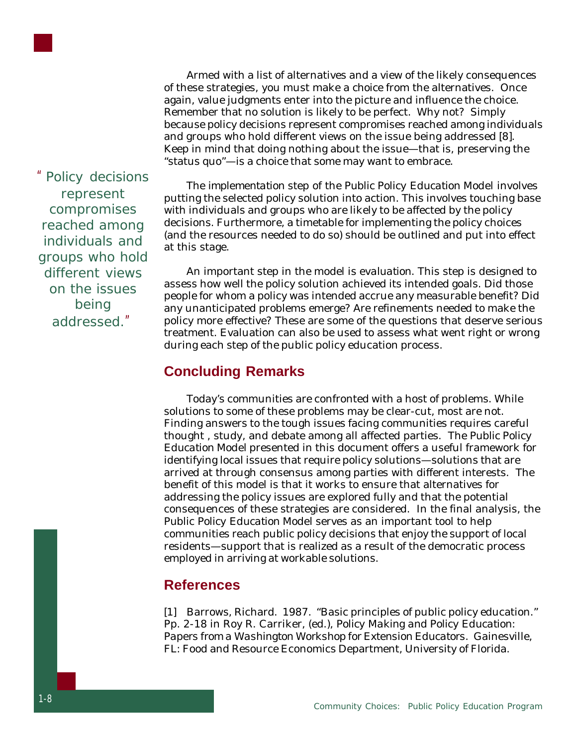

Armed with a list of alternatives and a view of the likely consequences of these strategies, you must make a *choice* from the alternatives. Once again, value judgments enter into the picture and influence the choice. Remember that no solution is likely to be perfect. Why not? Simply because policy decisions represent compromises reached among individuals and groups who hold different views on the issue being addressed [8]. Keep in mind that doing nothing about the issue—that is, preserving the "status quo"—is a choice that some may want to embrace.

The *implementation* step of the *Public Policy Education Model* involves putting the selected policy solution into action. This involves touching base with individuals and groups who are likely to be affected by the policy decisions. Furthermore, a timetable for implementing the policy choices (and the resources needed to do so) should be outlined and put into effect at this stage.

An important step in the model is *evaluation*. This step is designed to assess how well the policy solution achieved its intended goals. Did those people for whom a policy was intended accrue any measurable benefit? Did any unanticipated problems emerge? Are refinements needed to make the policy more effective? These are some of the questions that deserve serious treatment. Evaluation can also be used to assess what went right or wrong during each step of the public policy education process.

#### **Concluding Remarks**

Today's communities are confronted with a host of problems. While solutions to some of these problems may be clear-cut, most are not. Finding answers to the tough issues facing communities requires careful thought , study, and debate among all affected parties. The *Public Policy Education Model* presented in this document offers a useful framework for identifying local issues that require policy solutions—solutions that are arrived at through consensus among parties with different interests. The benefit of this model is that it works to ensure that alternatives for addressing the policy issues are explored fully and that the potential consequences of these strategies are considered. In the final analysis, the *Public Policy Education Model* serves as an important tool to help communities reach public policy decisions that enjoy the support of local residents—support that is realized as a result of the democratic process employed in arriving at workable solutions.

#### **References**

[1] Barrows, Richard. 1987. "Basic principles of public policy education." Pp. 2-18 in Roy R. Carriker, (ed.), *Policy Making and Policy Education: Papers from a Washington Workshop for Extension Educators*. Gainesville, FL: Food and Resource Economics Department, University of Florida.

"Policy decisions represent compromises reached among individuals and groups who hold different views on the issues being addressed."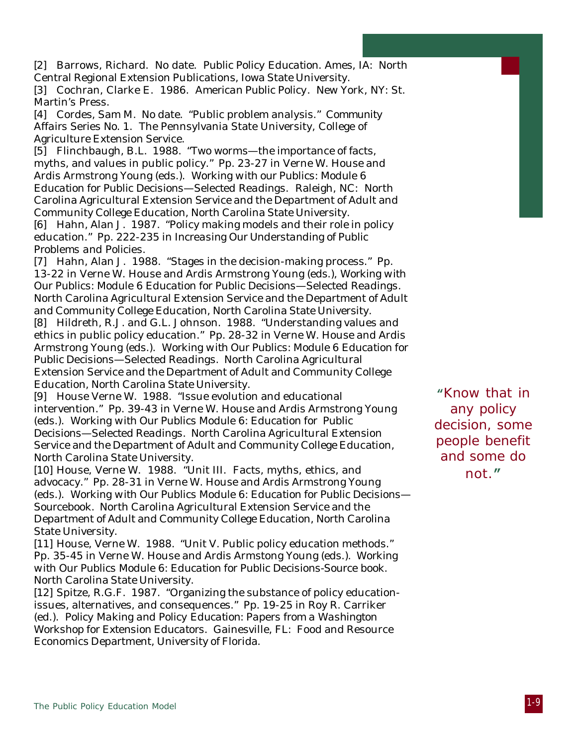[2] Barrows, Richard. No date. *Public Policy Education*. Ames, IA: North Central Regional Extension Publications, Iowa State University.

[3] Cochran, Clarke E. 1986. *American Public Policy*. New York, NY: St. Martin's Press.

[4] Cordes, Sam M. No date. "Public problem analysis." *Community Affairs Series No. 1*. The Pennsylvania State University, College of Agriculture Extension Service.

[5] Flinchbaugh, B.L. 1988. "Two worms—the importance of facts, myths, and values in public policy." Pp. 23-27 in Verne W. House and Ardis Armstrong Young (eds.). *Working with our Publics: Module 6 Education for Public Decisions—Selected Readings*. Raleigh, NC: North Carolina Agricultural Extension Service and the Department of Adult and Community College Education, North Carolina State University.

[6] Hahn, Alan J. 1987. "Policy making models and their role in policy education." Pp. 222-235 in *Increasing Our Understanding of Public Problems and Policies*.

[7] Hahn, Alan J. 1988. "Stages in the decision-making process." Pp. 13-22 in Verne W. House and Ardis Armstrong Young (eds.), *Working with Our Publics: Module 6 Education for Public Decisions—Selected Readings*. North Carolina Agricultural Extension Service and the Department of Adult and Community College Education, North Carolina State University.

[8] Hildreth, R.J. and G.L. Johnson. 1988. "Understanding values and ethics in public policy education." Pp. 28-32 in Verne W. House and Ardis Armstrong Young (eds.). *Working with Our Publics: Module 6 Education for Public Decisions—Selected Readings*. North Carolina Agricultural Extension Service and the Department of Adult and Community College Education, North Carolina State University.

[9] House Verne W. 1988. "Issue evolution and educational intervention." Pp. 39-43 in Verne W. House and Ardis Armstrong Young (eds.). *Working with Our Publics Module 6: Education for Public Decisions—Selected Readings*. North Carolina Agricultural Extension Service and the Department of Adult and Community College Education, North Carolina State University.

[10] House, Verne W. 1988. "Unit III. Facts, myths, ethics, and advocacy." Pp. 28-31 in Verne W. House and Ardis Armstrong Young (eds.). *Working with Our Publics Module 6: Education for Public Decisions— Sourcebook*. North Carolina Agricultural Extension Service and the Department of Adult and Community College Education, North Carolina State University.

[11] House, Verne W. 1988. "Unit V. Public policy education methods." Pp. 35-45 in Verne W. House and Ardis Armstong Young (eds.). *Working with Our Publics Module 6: Education for Public Decisions-Source book*. North Carolina State University.

[12] Spitze, R.G.F. 1987. "Organizing the substance of policy educationissues, alternatives, and consequences." Pp. 19-25 in Roy R. Carriker (ed.). *Policy Making and Policy Education: Papers from a Washington Workshop for Extension Educators*. Gainesville, FL: Food and Resource Economics Department, University of Florida.

**"**Know that in any policy decision, some people benefit and some do not.**"**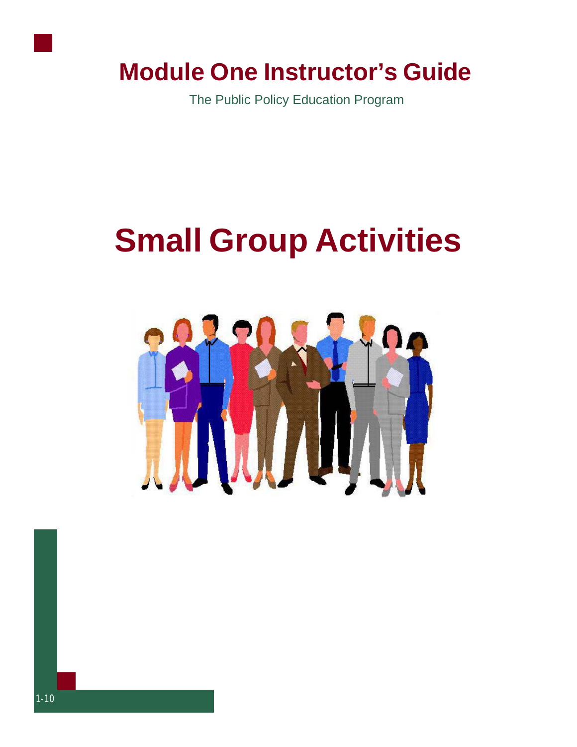

### **Module One Instructor's Guide**

The Public Policy Education Program

# **Small Group Activities**

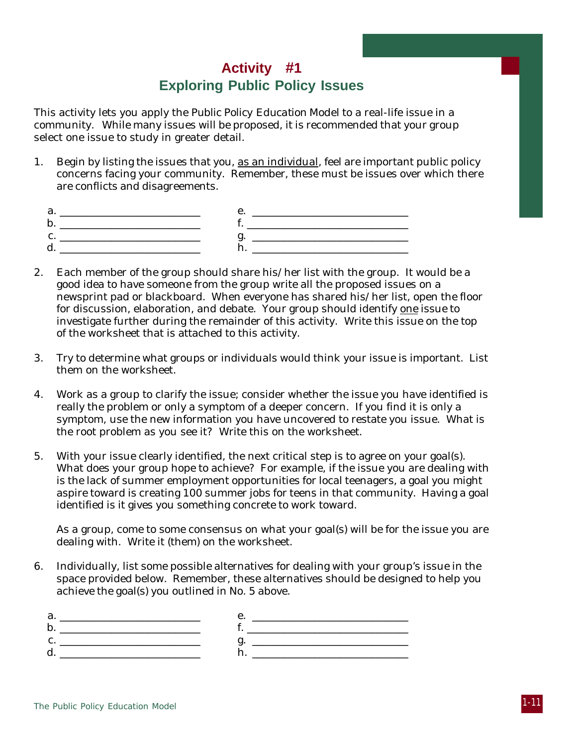#### **Activity #1 Exploring Public Policy Issues**

This activity lets you apply the *Public Policy Education Model* to a real-life issue in a community. While many issues will be proposed, it is recommended that your group select one issue to study in greater detail.

1. Begin by listing the issues that you, as an individual, feel are important public policy concerns facing your community. Remember, these must be issues over which there are conflicts and disagreements.

| <b>1.</b> |
|-----------|
|           |
|           |
|           |

- 2. Each member of the group should share his/her list with the group. It would be a good idea to have someone from the group write all the proposed issues on a newsprint pad or blackboard. When everyone has shared his/her list, open the floor for discussion, elaboration, and debate. Your group should identify one issue to investigate further during the remainder of this activity. Write this issue on the top of the worksheet that is attached to this activity.
- 3. Try to determine what groups or individuals would think your issue is important. List them on the worksheet.
- 4. Work as a group to clarify the issue; consider whether the issue you have identified is really the problem or only a symptom of a deeper concern. If you find it is only a symptom, use the new information you have uncovered to restate you issue. What is the root problem as you see it? Write this on the worksheet.
- 5. With your issue clearly identified, the next critical step is to agree on your goal(s). What does your group hope to achieve? For example, if the issue you are dealing with is the lack of summer employment opportunities for local teenagers, a goal you might aspire toward is creating 100 summer jobs for teens in that community. Having a goal identified is it gives you something concrete to work toward.

As a group, come to some consensus on what your goal(s) will be for the issue you are dealing with. Write it (them) on the worksheet.

6. Individually, list some possible alternatives for dealing with your group's issue in the space provided below. Remember, these alternatives should be designed to help you achieve the goal(s) you outlined in No. 5 above.

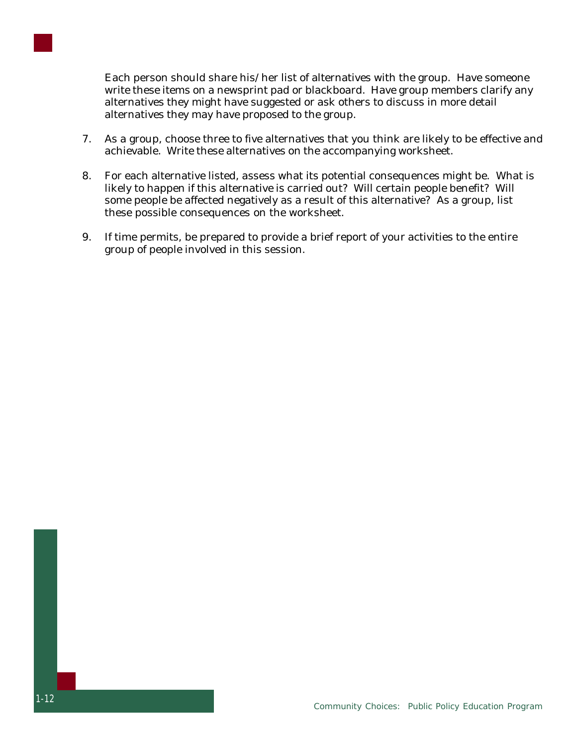

Each person should share his/her list of alternatives with the group. Have someone write these items on a newsprint pad or blackboard. Have group members clarify any alternatives they might have suggested or ask others to discuss in more detail alternatives they may have proposed to the group.

- 7. As a group, choose three to five alternatives that you think are likely to be effective and achievable. Write these alternatives on the accompanying worksheet.
- 8. For each alternative listed, assess what its potential consequences might be. What is likely to happen if this alternative is carried out? Will certain people benefit? Will some people be affected negatively as a result of this alternative? As a group, list these possible consequences on the worksheet.
- 9. If time permits, be prepared to provide a brief report of your activities to the entire group of people involved in this session.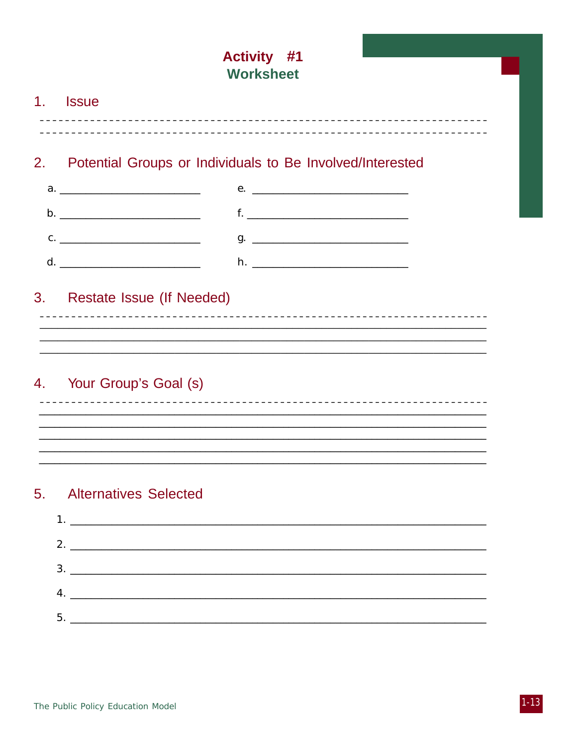### **Activity #1 Worksheet**  $1<sub>1</sub>$ **Issue** Potential Groups or Individuals to Be Involved/Interested  $2.$  $f.$   $\qquad \qquad$   $\qquad \qquad$   $\qquad$   $\qquad \qquad$   $\qquad \qquad$   $\qquad \qquad$   $\qquad \qquad$   $\qquad \qquad$   $\qquad \qquad$   $\qquad \qquad$   $\qquad \qquad$   $\qquad \qquad$   $\qquad \qquad$   $\qquad$   $\qquad$   $\qquad$   $\qquad$   $\qquad$   $\qquad$   $\qquad$   $\qquad$   $\qquad$   $\qquad$   $\qquad$   $\qquad$   $\qquad$   $\qquad$   $\qquad$   $\qquad$   $\qquad$   $C.$   $\qquad \qquad$ **Restate Issue (If Needed)**  $3.$ Your Group's Goal (s) 4. <u> 1980 - Jan Barnett, fransk politik (d. 1980)</u> **Alternatives Selected**  $5<sub>1</sub>$

| 5. |  |  |
|----|--|--|